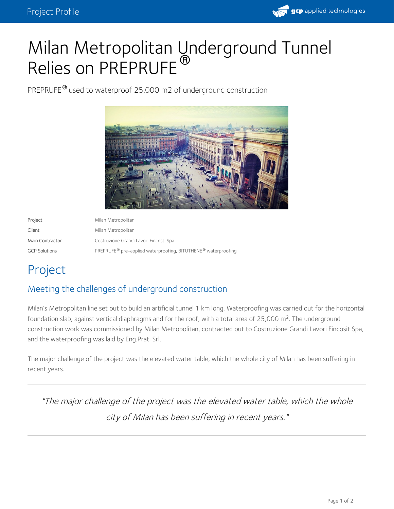

# Milan Metropolitan Underground Tunnel Relies on PREPRUFE<sup>®</sup>

PREPRUFE® used to waterproof 25,000 m2 of underground construction



Project Milan Metropolitan Client Milan Metropolitan Main Contractor Costruzione Grandi Lavori Fincosti Spa GCP Solutions **Example 2** PREPRUFE® pre-applied waterproofing, BITUTHENE® waterproofing

# Project

## Meeting the challenges of underground construction

Milan's Metropolitan line set out to build an artificial tunnel 1 km long. Waterproofing was carried out for the horizontal foundation slab, against vertical diaphragms and for the roof, with a total area of 25,000 m<sup>2</sup>. The underground construction work was commissioned by Milan Metropolitan, contracted out to Costruzione Grandi Lavori Fincosit Spa, and the waterproofing was laid by Eng.Prati Srl.

The major challenge of the project was the elevated water table, which the whole city of Milan has been suffering in recent years.

"The major challenge of the project was the elevated water table, which the whole city of Milan has been suffering in recent years."